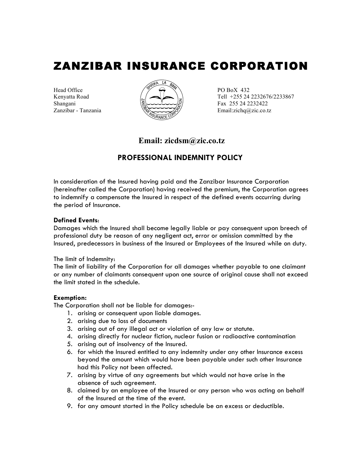# ZANZIBAR INSURANCE CORPORATION

Head Office  $\sqrt{\frac{3}{2}} \leftrightarrow \sqrt{\frac{3}{2}}$  PO BoX 432



Kenyatta Road  $\left(\sqrt{2} \right)$  Tell +255 24 2232676/2233867  $\mathbb{R}$  Fax 255 24 2232422  $Z$ anzibar - Tanzania  $\langle\langle\langle\langle\langle\rangle\rangle\rangle\rangle\rangle$  Email:zichq $\langle\langle\rangle\rangle$ zic.co.tz

# **Email: zicdsm@zic.co.tz**

# **PROFESSIONAL INDEMNITY POLICY**

In consideration of the Insured having paid and the Zanzibar Insurance Corporation (hereinafter called the Corporation) having received the premium, the Corporation agrees to indemnify a compensate the Insured in respect of the defined events occurring during the period of Insurance.

## **Defined Events**:

Damages which the Insured shall become legally liable or pay consequent upon breech of professional duty be reason of any negligent act, error or omission committed by the Insured, predecessors in business of the Insured or Employees of the Insured while on duty.

#### The limit of Indemnity:

The limit of liability of the Corporation for all damages whether payable to one claimant or any number of claimants consequent upon one source of original cause shall not exceed the limit stated in the schedule.

#### **Exemption:**

The Corporation shall not be liable for damages:-

- 1. arising or consequent upon liable damages.
- 2. arising due to loss of documents
- 3. arising out of any illegal act or violation of any law or statute.
- 4. arising directly for nuclear fiction, nuclear fusion or radioactive contamination
- 5. arising out of insolvency of the Insured.
- 6. for which the Insured entitled to any indemnity under any other Insurance excess beyond the amount which would have been payable under such other Insurance had this Policy not been affected.
- 7. arising by virtue of any agreements but which would not have arise in the absence of such agreement.
- 8. claimed by an employee of the Insured or any person who was acting on behalf of the Insured at the time of the event.
- 9. for any amount started in the Policy schedule be an excess or deductible.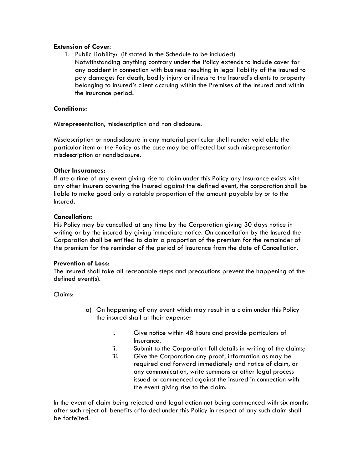#### **Extension of Cover**:

1. Public Liability: (if stated in the Schedule to be included) Notwithstanding anything contrary under the Policy extends to include cover for any accident in connection with business resulting in legal liability of the insured to pay damages for death, bodily injury or illness to the Insured's clients to property belonging to insured's client accruing within the Premises of the Insured and within the Insurance period.

## **Conditions:**

Misrepresentation, misdescription and non disclosure.

Misdescription or nondisclosure in any material particular shall render void able the particular item or the Policy as the case may be affected but such misrepresentation misdescription or nondisclosure.

## **Other Insurances:**

If ate a time of any event giving rise to claim under this Policy any Insurance exists with any other Insurers covering the Insured against the defined event, the corporation shall be liable to make good only a ratable proportion of the amount payable by or to the Insured.

## **Cancellation:**

His Policy may be cancelled at any time by the Corporation giving 30 days notice in writing or by the insured by giving immediate notice. On cancellation by the Insured the Corporation shall be entitled to claim a proportion of the premium for the remainder of the premium for the reminder of the period of Insurance from the date of Cancellation.

# **Prevention of Loss**:

The Insured shall take all reasonable steps and precautions prevent the happening of the defined event(s).

Claims:

- a) On happening of any event which may result in a claim under this Policy the insured shall at their expense:
	- i. Give notice within 48 hours and provide particulars of Insurance.
	- ii. Submit to the Corporation full details in writing of the claims;
	- iii. Give the Corporation any proof, information as may be required and forward immediately and notice of claim, or any communication, write summons or other legal process issued or commenced against the insured in connection with the event giving rise to the claim.

In the event of claim being rejected and legal action not being commenced with six months after such reject all benefits afforded under this Policy in respect of any such claim shall be forfeited.